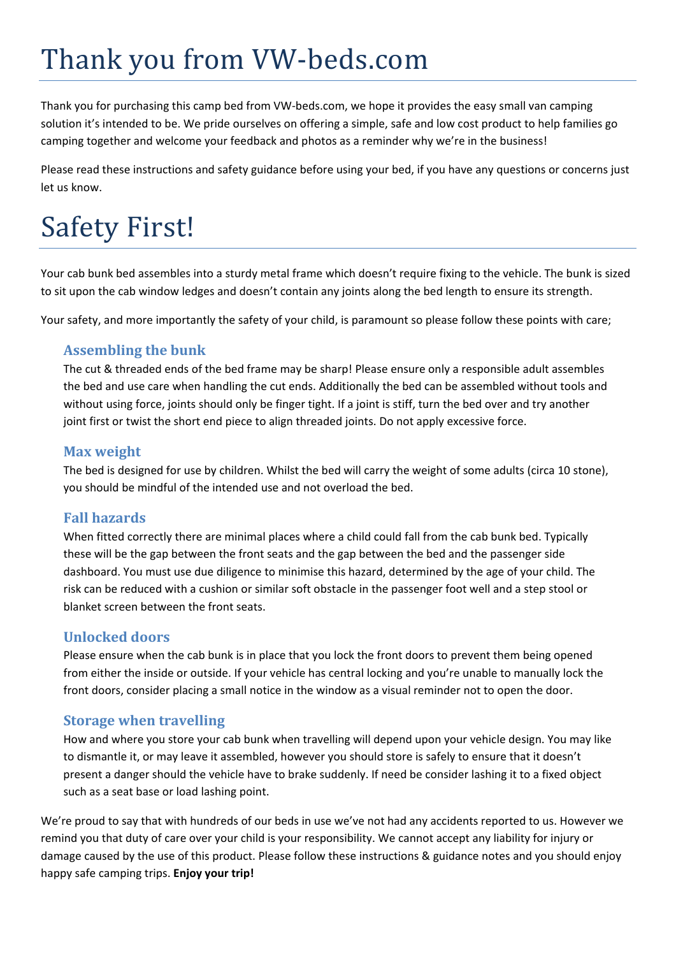# Thank you from VW‐beds.com

Thank you for purchasing this camp bed from VW‐beds.com, we hope it provides the easy small van camping solution it's intended to be. We pride ourselves on offering a simple, safe and low cost product to help families go camping together and welcome your feedback and photos as a reminder why we're in the business!

Please read these instructions and safety guidance before using your bed, if you have any questions or concerns just let us know.

# Safety First!

Your cab bunk bed assembles into a sturdy metal frame which doesn't require fixing to the vehicle. The bunk is sized to sit upon the cab window ledges and doesn't contain any joints along the bed length to ensure its strength.

Your safety, and more importantly the safety of your child, is paramount so please follow these points with care;

## **Assembling the bunk**

The cut & threaded ends of the bed frame may be sharp! Please ensure only a responsible adult assembles the bed and use care when handling the cut ends. Additionally the bed can be assembled without tools and without using force, joints should only be finger tight. If a joint is stiff, turn the bed over and try another joint first or twist the short end piece to align threaded joints. Do not apply excessive force.

### **Max weight**

The bed is designed for use by children. Whilst the bed will carry the weight of some adults (circa 10 stone), you should be mindful of the intended use and not overload the bed.

## **Fall hazards**

When fitted correctly there are minimal places where a child could fall from the cab bunk bed. Typically these will be the gap between the front seats and the gap between the bed and the passenger side dashboard. You must use due diligence to minimise this hazard, determined by the age of your child. The risk can be reduced with a cushion or similar soft obstacle in the passenger foot well and a step stool or blanket screen between the front seats.

## **Unlocked doors**

Please ensure when the cab bunk is in place that you lock the front doors to prevent them being opened from either the inside or outside. If your vehicle has central locking and you're unable to manually lock the front doors, consider placing a small notice in the window as a visual reminder not to open the door.

## **Storage when travelling**

How and where you store your cab bunk when travelling will depend upon your vehicle design. You may like to dismantle it, or may leave it assembled, however you should store is safely to ensure that it doesn't present a danger should the vehicle have to brake suddenly. If need be consider lashing it to a fixed object such as a seat base or load lashing point.

We're proud to say that with hundreds of our beds in use we've not had any accidents reported to us. However we remind you that duty of care over your child is your responsibility. We cannot accept any liability for injury or damage caused by the use of this product. Please follow these instructions & guidance notes and you should enjoy happy safe camping trips. **Enjoy your trip!**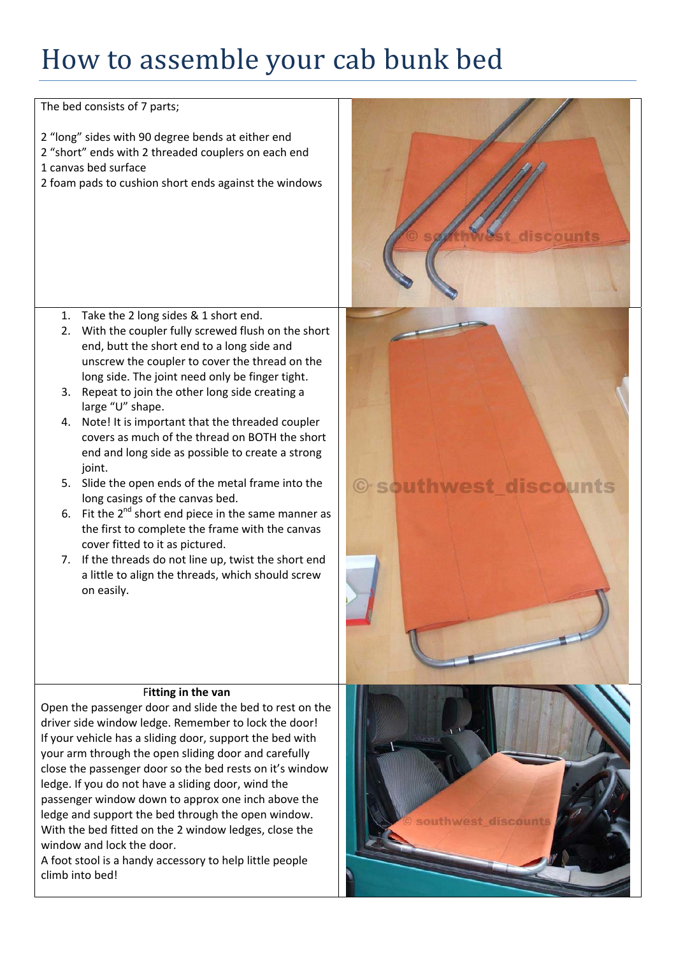# How to assemble your cab bunk bed

The bed consists of 7 parts;

- 2 "long" sides with 90 degree bends at either end
- 2 "short" ends with 2 threaded couplers on each end
- 1 canvas bed surface
- 2 foam pads to cushion short ends against the windows

- 1. Take the 2 long sides & 1 short end.
- 2. With the coupler fully screwed flush on the short end, butt the short end to a long side and unscrew the coupler to cover the thread on the long side. The joint need only be finger tight.
- 3. Repeat to join the other long side creating a large "U" shape.
- 4. Note! It is important that the threaded coupler covers as much of the thread on BOTH the short end and long side as possible to create a strong ioint.
- 5. Slide the open ends of the metal frame into the long casings of the canvas bed.
- 6. Fit the  $2^{nd}$  short end piece in the same manner as the first to complete the frame with the canvas cover fitted to it as pictured.
- 7. If the threads do not line up, twist the short end a little to align the threads, which should screw on easily.

#### F**itting in the van**

Open the passenger door and slide the bed to rest on the driver side window ledge. Remember to lock the door! If your vehicle has a sliding door, support the bed with your arm through the open sliding door and carefully close the passenger door so the bed rests on it's window ledge. If you do not have a sliding door, wind the passenger window down to approx one inch above the ledge and support the bed through the open window. With the bed fitted on the 2 window ledges, close the window and lock the door.

A foot stool is a handy accessory to help little people climb into bed!



© southwest discounts

discounts